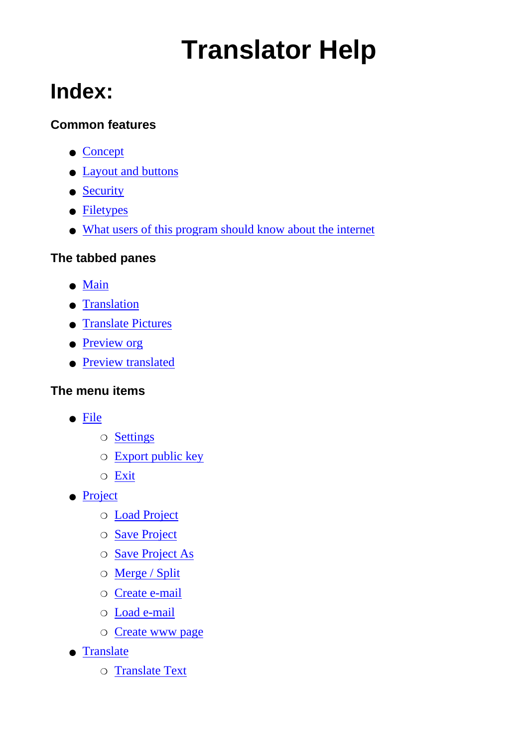# **Translator Help**

### **Index:**

#### **Common features**

- [Concept](#page-2-0)
- [Layout and buttons](#page-3-0)
- [Security](#page-4-0)
- [Filetypes](#page-5-0)
- [What users of this program should know about the internet](#page-6-0)

#### **The tabbed panes**

- [Main](#page-8-0)
- [Translation](#page-9-0)
- [Translate Pictures](#page-11-0)
- [Preview org](#page-12-0)
- [Preview translated](#page-12-0)

### **The menu items**

- [File](#page-13-0)
	- ❍ [Settings](#page-13-1)
	- ❍ [Export public key](#page-13-2)
	- ❍ [Exit](#page-14-0)
- [Project](#page-15-0)
	- ❍ [Load Project](#page-15-1)
	- ❍ [Save Project](#page-15-2)
	- ❍ [Save Project As](#page-15-3)
	- ❍ [Merge / Split](#page-15-4)
	- ❍ [Create e-mail](#page-15-5)
	- ❍ [Load e-mail](#page-15-6)
	- ❍ [Create www page](#page-15-7)
- [Translate](#page-16-0)
	- ❍ [Translate Text](#page-16-1)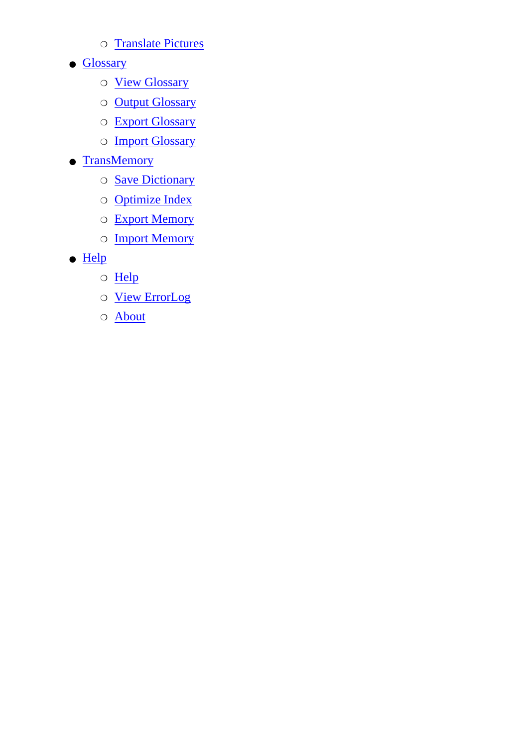- ❍ [Translate Pictures](#page-16-2)
- [Glossary](#page-17-0)
	- ❍ [View Glossary](#page-17-1)
	- ❍ [Output Glossary](#page-17-2)
	- ❍ [Export Glossary](#page-17-3)
	- o **[Import Glossary](#page-17-4)**
- [TransMemory](#page-18-0)
	- ❍ [Save Dictionary](#page-18-1)
	- ❍ [Optimize Index](#page-18-2)
	- ❍ [Export Memory](#page-18-3)
	- ❍ [Import Memory](#page-18-4)
- [Help](#page-18-0)
	- ❍ [Help](#page-19-0)
	- ❍ [View ErrorLog](#page-19-1)
	- ❍ [About](#page-19-2)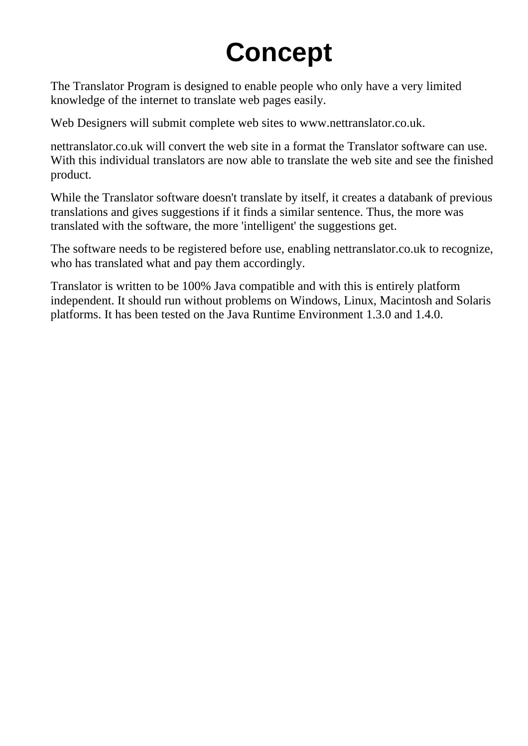## **Concept**

<span id="page-2-0"></span>The Translator Program is designed to enable people who only have a very limited knowledge of the internet to translate web pages easily.

Web Designers will submit complete web sites to www.nettranslator.co.uk.

nettranslator.co.uk will convert the web site in a format the Translator software can use. With this individual translators are now able to translate the web site and see the finished product.

While the Translator software doesn't translate by itself, it creates a databank of previous translations and gives suggestions if it finds a similar sentence. Thus, the more was translated with the software, the more 'intelligent' the suggestions get.

The software needs to be registered before use, enabling nettranslator.co.uk to recognize, who has translated what and pay them accordingly.

Translator is written to be 100% Java compatible and with this is entirely platform independent. It should run without problems on Windows, Linux, Macintosh and Solaris platforms. It has been tested on the Java Runtime Environment 1.3.0 and 1.4.0.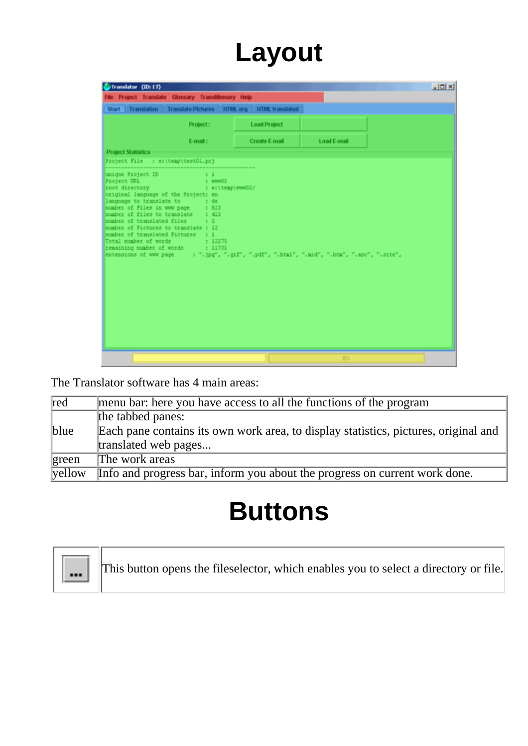## **Layout**

<span id="page-3-0"></span>

| <b>Project Statistics</b><br>Project File : er\temp\test01.prj<br>unique Project ID                                                                                                                                                                                                                                   | Project:<br>E-mail:                                           | Start Translation Translate Pictures HTML org HTML translated<br><b>Load Project</b> |             |  |
|-----------------------------------------------------------------------------------------------------------------------------------------------------------------------------------------------------------------------------------------------------------------------------------------------------------------------|---------------------------------------------------------------|--------------------------------------------------------------------------------------|-------------|--|
|                                                                                                                                                                                                                                                                                                                       |                                                               |                                                                                      |             |  |
|                                                                                                                                                                                                                                                                                                                       |                                                               |                                                                                      |             |  |
|                                                                                                                                                                                                                                                                                                                       |                                                               | <b>Create E-mail</b>                                                                 | Load E-mail |  |
|                                                                                                                                                                                                                                                                                                                       |                                                               |                                                                                      |             |  |
|                                                                                                                                                                                                                                                                                                                       |                                                               |                                                                                      |             |  |
| root directory<br>original language of the Project: en<br>language to translate to<br>mumber of Files in www page = 1 823<br>number of files to translate : 412<br>number of translated files = 1 2<br>number of Pictures to translate : 12<br>number of translated Pictures : 1<br>remaining number of words : 11731 | : e:\temp\www02/<br>$\pm$ de<br>Total number of words [12275] |                                                                                      |             |  |

The Translator software has 4 main areas:

| red    | menu bar: here you have access to all the functions of the program                  |
|--------|-------------------------------------------------------------------------------------|
|        | the tabbed panes:                                                                   |
| blue   | Each pane contains its own work area, to display statistics, pictures, original and |
|        | translated web pages                                                                |
| green  | The work areas                                                                      |
| yellow | Info and progress bar, inform you about the progress on current work done.          |

### **Buttons**

<span id="page-3-1"></span>

This button opens the fileselector, which enables you to select a directory or file.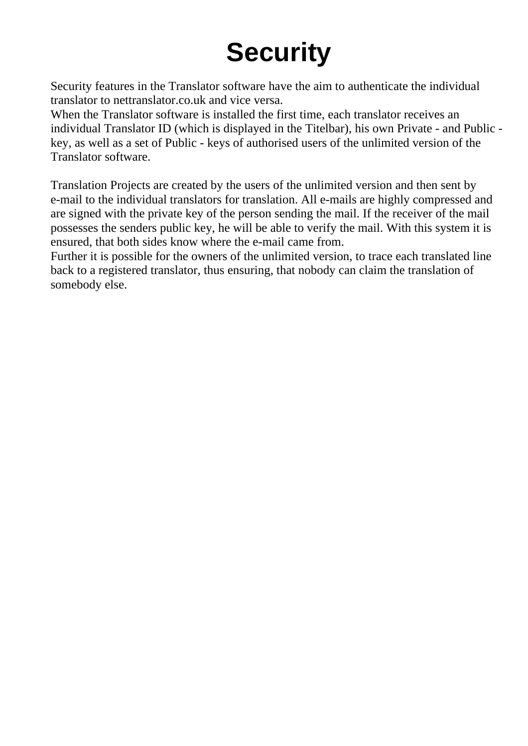# **Security**

<span id="page-4-0"></span>Security features in the Translator software have the aim to authenticate the individual translator to nettranslator.co.uk and vice versa.

When the Translator software is installed the first time, each translator receives an individual Translator ID (which is displayed in the Titelbar), his own Private - and Public key, as well as a set of Public - keys of authorised users of the unlimited version of the Translator software.

Translation Projects are created by the users of the unlimited version and then sent by e-mail to the individual translators for translation. All e-mails are highly compressed and are signed with the private key of the person sending the mail. If the receiver of the mail possesses the senders public key, he will be able to verify the mail. With this system it is ensured, that both sides know where the e-mail came from.

Further it is possible for the owners of the unlimited version, to trace each translated line back to a registered translator, thus ensuring, that nobody can claim the translation of somebody else.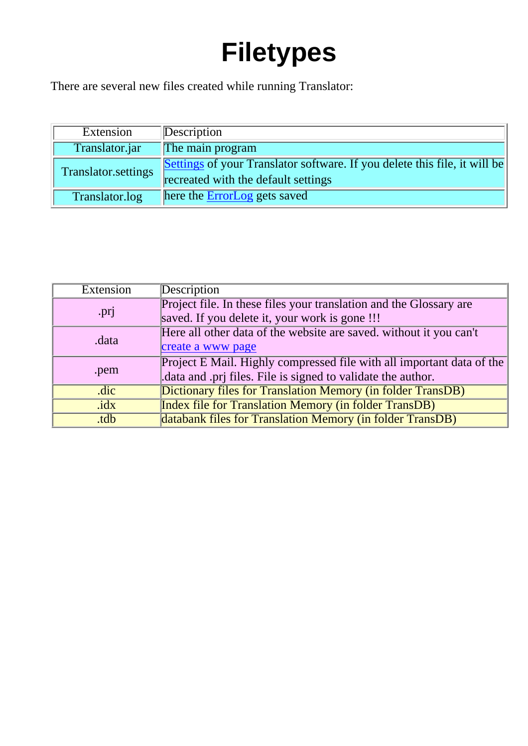# **Filetypes**

<span id="page-5-0"></span>There are several new files created while running Translator:

| Extension                  | Description                                                                                                      |
|----------------------------|------------------------------------------------------------------------------------------------------------------|
| Translator.jar             | The main program                                                                                                 |
| <b>Translator.settings</b> | Settings of your Translator software. If you delete this file, it will be<br>recreated with the default settings |
| Translator.log             | here the ErrorLog gets saved                                                                                     |

| Extension | <b>Description</b>                                                    |
|-----------|-----------------------------------------------------------------------|
|           | Project file. In these files your translation and the Glossary are    |
| .prj      | saved. If you delete it, your work is gone !!!                        |
| .data     | Here all other data of the website are saved, without it you can't    |
|           | create a www page                                                     |
| .pem      | Project E Mail. Highly compressed file with all important data of the |
|           | data and .prj files. File is signed to validate the author.           |
| .dic      | Dictionary files for Translation Memory (in folder TransDB)           |
| idx       | <b>Index file for Translation Memory (in folder TransDB)</b>          |
| .tdb      | databank files for Translation Memory (in folder TransDB)             |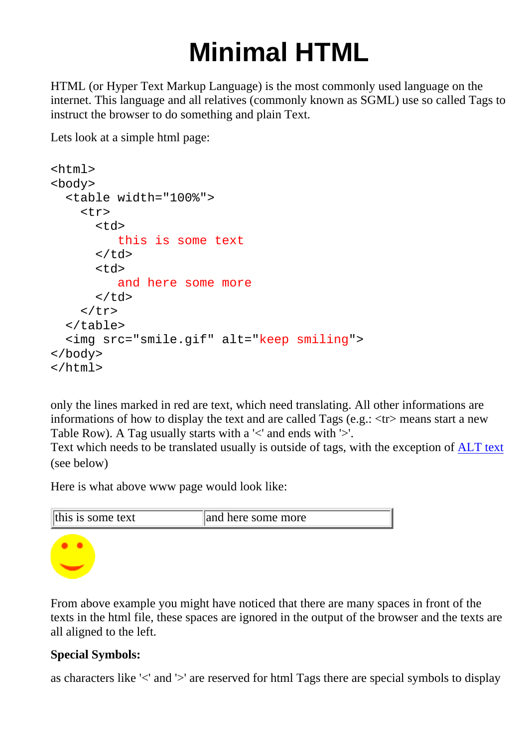# **Minimal HTML**

<span id="page-6-0"></span>HTML (or Hyper Text Markup Language) is the most commonly used language on the internet. This language and all relatives (commonly known as SGML) use so called Tags to instruct the browser to do something and plain Text.

Lets look at a simple html page:

```
<html>
<body>
   <table width="100%">
     <tr>
         <td>
             this is some text
        \langle t \rangle<sub>td</sub></sub>
             and here some more
        \langle td>
     \langle/tr>
   </table>
   <img src="smile.gif" alt="keep smiling">
</body>
</html>
```
only the lines marked in red are text, which need translating. All other informations are informations of how to display the text and are called Tags (e.g.: <tr> means start a new Table Row). A Tag usually starts with a '<' and ends with '>'.

Text which needs to be translated usually is outside of tags, with the exception of [ALT text](#page-7-0) (see below)

Here is what above www page would look like:



From above example you might have noticed that there are many spaces in front of the texts in the html file, these spaces are ignored in the output of the browser and the texts are all aligned to the left.

#### **Special Symbols:**

as characters like '<' and '>' are reserved for html Tags there are special symbols to display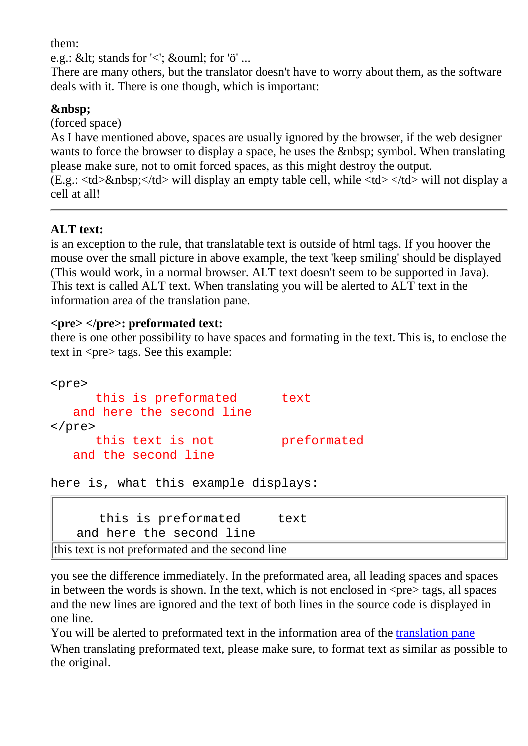them:

e.g.: &It; stands for ' $\lt$ '; ö for 'ö' ...

There are many others, but the translator doesn't have to worry about them, as the software deals with it. There is one though, which is important:

#### <span id="page-7-1"></span>

(forced space)

As I have mentioned above, spaces are usually ignored by the browser, if the web designer wants to force the browser to display a space, he uses the  $\&$ nbsp; symbol. When translating please make sure, not to omit forced spaces, as this might destroy the output.  $(E.g.: <\text{td}> \& \text{nbsp}; <\text{/td}>$  will display an empty table cell, while  $<\text{td}> <\text{/td}>$  will not display a cell at all!

#### <span id="page-7-0"></span>**ALT text:**

is an exception to the rule, that translatable text is outside of html tags. If you hoover the mouse over the small picture in above example, the text 'keep smiling' should be displayed (This would work, in a normal browser. ALT text doesn't seem to be supported in Java). This text is called ALT text. When translating you will be alerted to ALT text in the information area of the translation pane.

#### <span id="page-7-2"></span>**<pre> </pre>: preformated text:**

there is one other possibility to have spaces and formating in the text. This is, to enclose the text in <pre> tags. See this example:

```
<pre>
     this is preformated text
   and here the second line
</pre>
     this text is not breformated
   and the second line
```
here is, what this example displays:

this is preformated text and here the second line this text is not preformated and the second line

you see the difference immediately. In the preformated area, all leading spaces and spaces in between the words is shown. In the text, which is not enclosed in  $\langle pre \rangle$  tags, all spaces and the new lines are ignored and the text of both lines in the source code is displayed in one line.

You will be alerted to preformated text in the information area of the [translation pane](#page-9-0) When translating preformated text, please make sure, to format text as similar as possible to the original.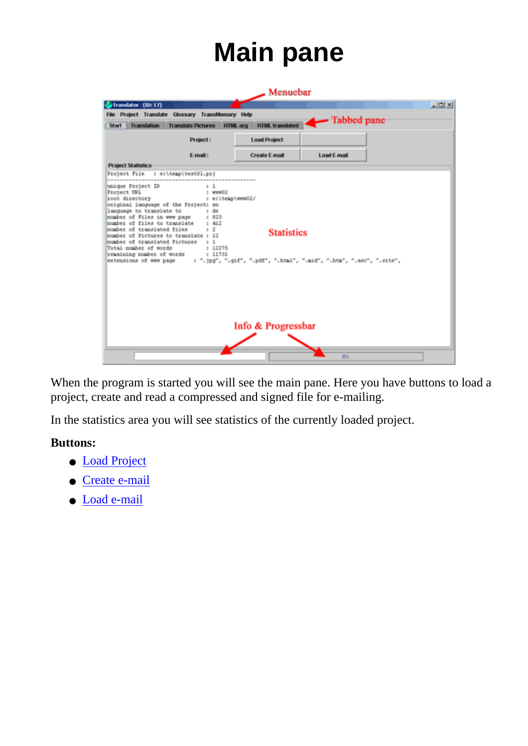## **Main pane**

<span id="page-8-0"></span>

|                                                                                                                                                                                                                                         |                                                                                                                                                                    | $\blacktriangle$ Menuebar               |             |               |
|-----------------------------------------------------------------------------------------------------------------------------------------------------------------------------------------------------------------------------------------|--------------------------------------------------------------------------------------------------------------------------------------------------------------------|-----------------------------------------|-------------|---------------|
| Translator (ID: 17)                                                                                                                                                                                                                     |                                                                                                                                                                    |                                         |             | $-101 \times$ |
| Start Translation                                                                                                                                                                                                                       | File Project Translate Glossary TransMemory Help<br><b>Translate Pictures</b>                                                                                      | <b>HTML</b> translated<br>HTML org      | Tabbed pane |               |
|                                                                                                                                                                                                                                         | Project:                                                                                                                                                           | <b>Load Project</b>                     |             |               |
|                                                                                                                                                                                                                                         | E-mail:                                                                                                                                                            | <b>Create E-mail</b>                    | Load F-mail |               |
| <b>Project Statistics</b>                                                                                                                                                                                                               |                                                                                                                                                                    |                                         |             |               |
| Project File                                                                                                                                                                                                                            | : e:\temp\test01.prj                                                                                                                                               |                                         |             |               |
| language to translate to<br>mumber of Files in www page : 823<br>mumber of files to translate : 412<br>number of translated files<br>number of Fictures to translate : 12<br>mumber of translated Pictures : 1<br>Total number of words | $:$ de<br>$\cdots$<br>: 12275<br>remaining number of words = 11731<br>extensions of www page = : ".jpg", ".gif", ".pdf", ".html", ".mid", ".htm", ".asc", ".site", | <b>Statistics</b><br>Info & Progressbar |             |               |
|                                                                                                                                                                                                                                         |                                                                                                                                                                    |                                         | D%          |               |

When the program is started you will see the main pane. Here you have buttons to load a project, create and read a compressed and signed file for e-mailing.

In the statistics area you will see statistics of the currently loaded project.

#### **Buttons:**

- [Load Project](#page-15-1)
- [Create e-mail](#page-15-5)
- [Load e-mail](#page-15-6)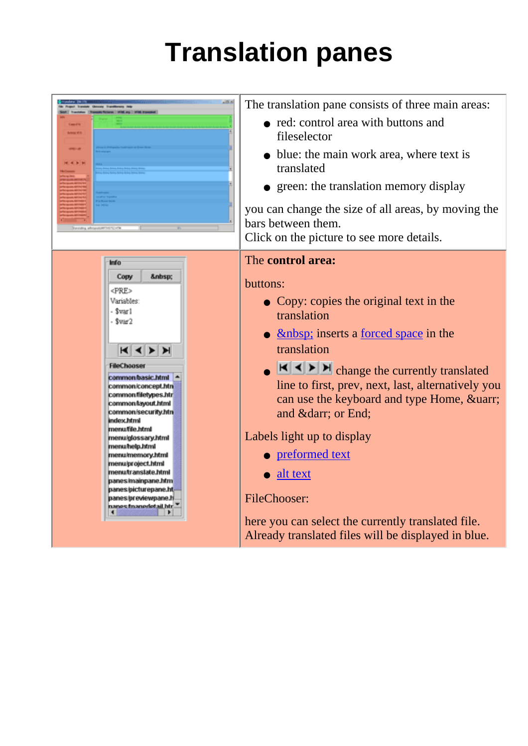# **Translation panes**

<span id="page-9-0"></span>

|                                                                                                                                                                                                                                                                                                                                                                                                                                                                                                                                    | The translation pane consists of three main areas:<br>• red: control area with buttons and<br>fileselector<br>• blue: the main work area, where text is<br>translated<br>• green: the translation memory display<br>you can change the size of all areas, by moving the<br>bars between them.<br>Click on the picture to see more details.                                                                                                                                                                                                                              |
|------------------------------------------------------------------------------------------------------------------------------------------------------------------------------------------------------------------------------------------------------------------------------------------------------------------------------------------------------------------------------------------------------------------------------------------------------------------------------------------------------------------------------------|-------------------------------------------------------------------------------------------------------------------------------------------------------------------------------------------------------------------------------------------------------------------------------------------------------------------------------------------------------------------------------------------------------------------------------------------------------------------------------------------------------------------------------------------------------------------------|
| Info<br>:<br>Copy<br><pre><br/>Variables:<br/>- Svarl<br/>- \$var2<br/><math>K</math> <math>\rightarrow</math> <math>H</math><br/><b>FileChooser</b><br/>common/basic.html 4<br/>common/concept.htn<br/>commonfiletypes.htr<br/>common/tayout.html<br/>common/security.htm<br/>index.html<br/>menufile.html<br/>menuiglossary.html<br/>menu/help.html<br/>menumemory.html<br/>menu/project.html<br/>menutranslate.html<br/>panes/mainpane.htm<br/>panes/picturepane.ht-<br/>panes/previewpane.h<br/>nanes francoletail htr."</pre> | The control area:<br>buttons:<br>• Copy: copies the original text in the<br>translation<br>• <u> </u> ; inserts a <u>forced</u> space in the<br>translation<br>$\left \mathbf{H}\right  \leq \left \mathbf{H}\right $ change the currently translated<br>line to first, prev, next, last, alternatively you<br>can use the keyboard and type Home, ↑<br>and ↓ or End;<br>Labels light up to display<br>• preformed text<br>alt text<br><b>FileChooser:</b><br>here you can select the currently translated file.<br>Already translated files will be displayed in blue. |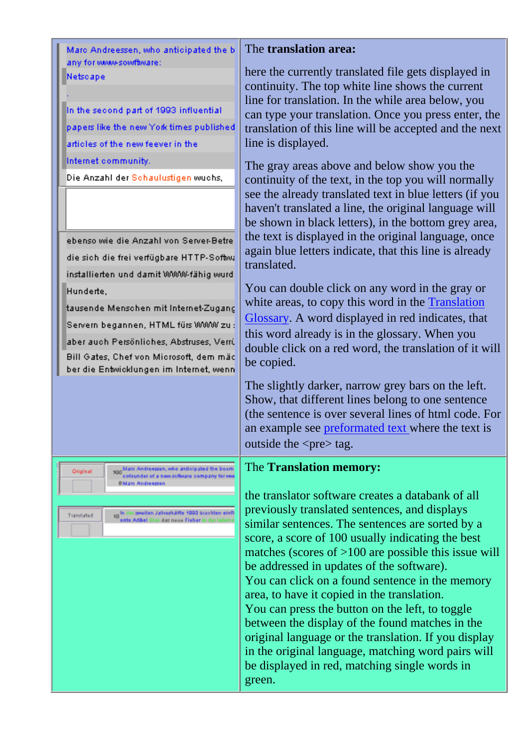<span id="page-10-0"></span>Marc Andreessen, who anticipated the b any for www-sowfbvare:

#### Netscape

<span id="page-10-1"></span>Original

In the second part of 1993 influential papers like the new York times published articles of the new feever in the Internet community.

Die Anzahl der Schaulustigen wuchs,

ebenso wie die Anzahl von Server-Betre die sich die frei verfügbare HTTP-Softwa installierten und damit WWW-fähig wurd Hunderte.

tausende Menschen mit Internet-Zugang Servern begannen, HTML fürs WWW zu : aber auch Persönliches, Abstruses, Verrü Bill Gates, Chef von Microsoft, dem mäc ber die Entwicklungen im Internet, wenn

> 100 Mars Andreessen, who anticipated the bosm<br>colourder of a new software company for ver **BMaro Andreessen**

in de awiten Jahrahälfe 1990 buchten einfl Translated mis Artikal Ober daz na de Fieber in

#### The **translation area:**

here the currently translated file gets displayed in continuity. The top white line shows the current line for translation. In the while area below, you can type your translation. Once you press enter, the translation of this line will be accepted and the next line is displayed.

The gray areas above and below show you the continuity of the text, in the top you will normally see the already translated text in blue letters (if you haven't translated a line, the original language will be shown in black letters), in the bottom grey area, the text is displayed in the original language, once again blue letters indicate, that this line is already translated.

You can double click on any word in the gray or white areas, to copy this word in the [Translation](#page-17-0) [Glossary.](#page-17-0) A word displayed in red indicates, that this word already is in the glossary. When you double click on a red word, the translation of it will be copied.

The slightly darker, narrow grey bars on the left. Show, that different lines belong to one sentence (the sentence is over several lines of html code. For an example see [preformated text](#page-7-2) where the text is outside the  $\langle$ pre $\rangle$  tag.

#### The **Translation memory:**

the translator software creates a databank of all previously translated sentences, and displays similar sentences. The sentences are sorted by a score, a score of 100 usually indicating the best matches (scores of >100 are possible this issue will be addressed in updates of the software). You can click on a found sentence in the memory area, to have it copied in the translation. You can press the button on the left, to toggle between the display of the found matches in the original language or the translation. If you display in the original language, matching word pairs will be displayed in red, matching single words in green.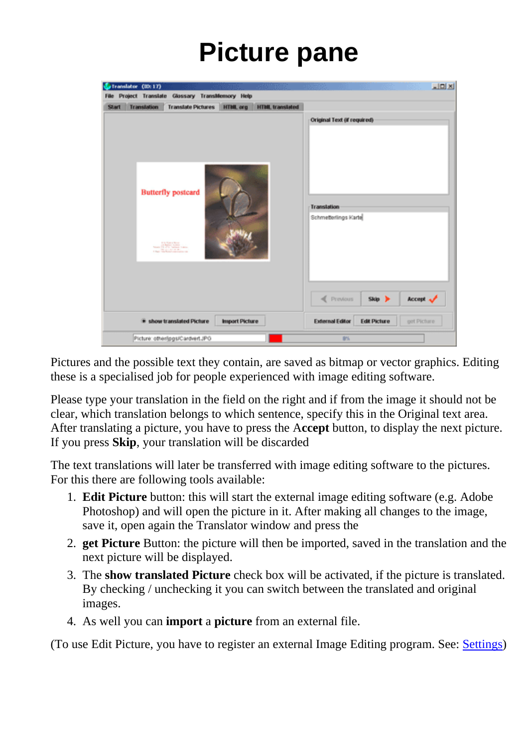### **Picture pane**

<span id="page-11-0"></span>

| Translator (ID: 17)<br>File Project Translate Glossary Transldemory Help                                                                          | $\frac{1}{2}$                                                                                   |
|---------------------------------------------------------------------------------------------------------------------------------------------------|-------------------------------------------------------------------------------------------------|
| <b>Transfation</b><br><b>Translate Pictures</b><br><b>HTML</b> translated<br>HTML org<br><b>Start</b><br><b>Butterfly postcard</b><br><b>STAR</b> | Original Text (if required)<br>Translation<br>Schmetterlings Karte                              |
| * show translated Picture<br><b>Import Picture</b>                                                                                                | Previous<br>Accept of<br>Skip ><br><b>External Editor</b><br><b>Edit Picture</b><br>get Picture |
| Picture: other/jpgs/CardvertJPG                                                                                                                   | 8%                                                                                              |

Pictures and the possible text they contain, are saved as bitmap or vector graphics. Editing these is a specialised job for people experienced with image editing software.

Please type your translation in the field on the right and if from the image it should not be clear, which translation belongs to which sentence, specify this in the Original text area. After translating a picture, you have to press the A**ccept** button, to display the next picture. If you press **Skip**, your translation will be discarded

<span id="page-11-1"></span>The text translations will later be transferred with image editing software to the pictures. For this there are following tools available:

- **Edit Picture** button: this will start the external image editing software (e.g. Adobe 1. Photoshop) and will open the picture in it. After making all changes to the image, save it, open again the Translator window and press the
- **get Picture** Button: the picture will then be imported, saved in the translation and the 2. next picture will be displayed.
- 3. The show translated Picture check box will be activated, if the picture is translated. By checking / unchecking it you can switch between the translated and original images.
- 4. As well you can **import** a **picture** from an external file.

(To use Edit Picture, you have to register an external Image Editing program. See: [Settings](#page-13-3))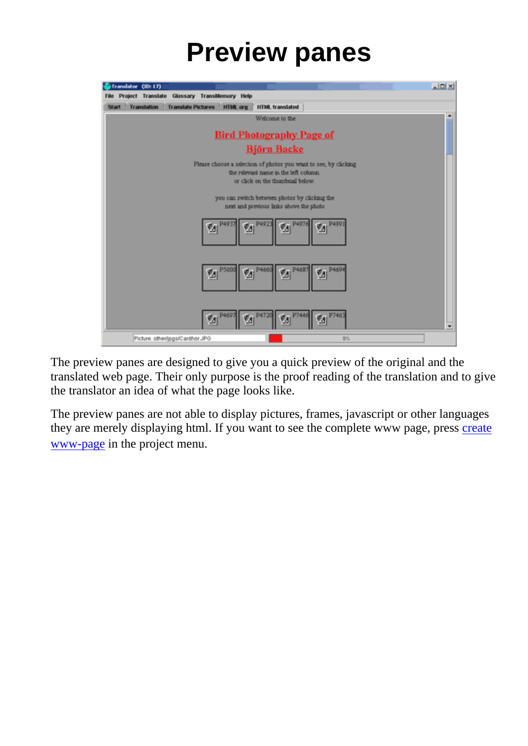### **Preview panes**

<span id="page-12-0"></span>

The preview panes are designed to give you a quick preview of the original and the translated web page. Their only purpose is the proof reading of the translation and to give the translator an idea of what the page looks like.

The preview panes are not able to display pictures, frames, javascript or other languages they are merely displaying html. If you want to see the complete www page, press [create](#page-15-0) [www-page](#page-15-0) in the project menu.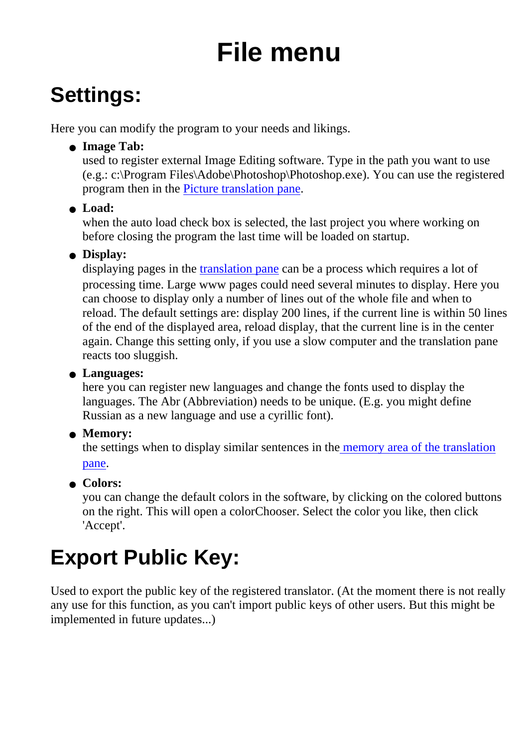# **File menu**

### <span id="page-13-1"></span><span id="page-13-0"></span>**Settings:**

<span id="page-13-3"></span>Here you can modify the program to your needs and likings.

**Image Tab:** ●

used to register external Image Editing software. Type in the path you want to use (e.g.: c:\Program Files\Adobe\Photoshop\Photoshop.exe). You can use the registered program then in the [Picture translation pane.](#page-11-1)

### **Load:** ●

when the auto load check box is selected, the last project you where working on before closing the program the last time will be loaded on startup.

### **Display:** ●

displaying pages in the [translation pane](#page-10-0) can be a process which requires a lot of processing time. Large www pages could need several minutes to display. Here you can choose to display only a number of lines out of the whole file and when to reload. The default settings are: display 200 lines, if the current line is within 50 lines of the end of the displayed area, reload display, that the current line is in the center again. Change this setting only, if you use a slow computer and the translation pane reacts too sluggish.

#### **Languages:** ●

here you can register new languages and change the fonts used to display the languages. The Abr (Abbreviation) needs to be unique. (E.g. you might define Russian as a new language and use a cyrillic font).

### **Memory:** ●

the settings when to display similar sentences in th[e memory area of the translation](#page-10-1) [pane](#page-10-1).

### **Colors:** ●

you can change the default colors in the software, by clicking on the colored buttons on the right. This will open a colorChooser. Select the color you like, then click 'Accept'.

### <span id="page-13-2"></span>**Export Public Key:**

Used to export the public key of the registered translator. (At the moment there is not really any use for this function, as you can't import public keys of other users. But this might be implemented in future updates...)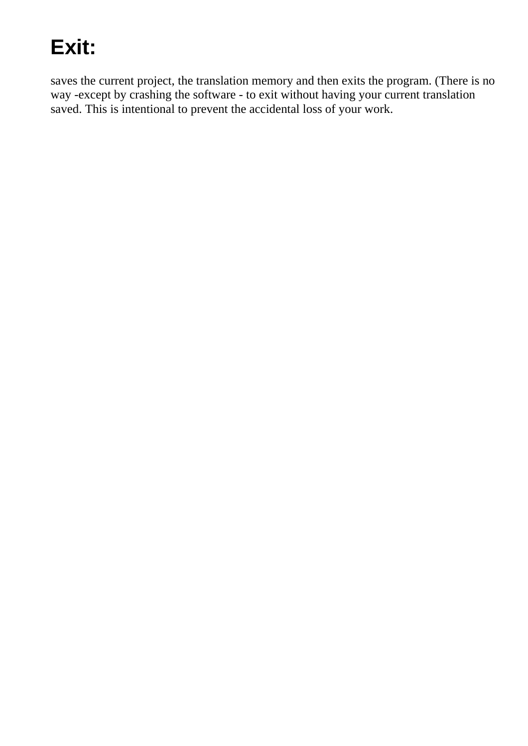### <span id="page-14-0"></span>**Exit:**

saves the current project, the translation memory and then exits the program. (There is no way -except by crashing the software - to exit without having your current translation saved. This is intentional to prevent the accidental loss of your work.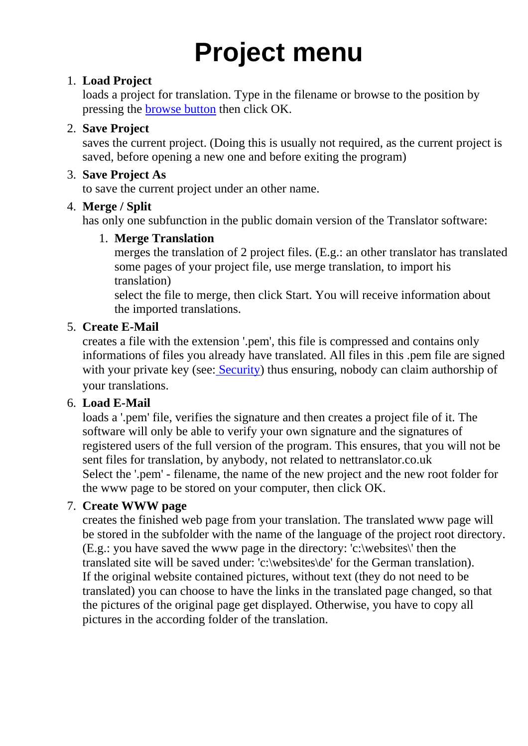# **Project menu**

#### <span id="page-15-1"></span><span id="page-15-0"></span>**Load Project** 1.

loads a project for translation. Type in the filename or browse to the position by pressing the [browse button](#page-3-1) then click OK.

#### <span id="page-15-2"></span>**Save Project** 2.

saves the current project. (Doing this is usually not required, as the current project is saved, before opening a new one and before exiting the program)

#### <span id="page-15-3"></span>**Save Project As** 3.

to save the current project under an other name.

#### <span id="page-15-4"></span>**Merge / Split** 4.

has only one subfunction in the public domain version of the Translator software:

#### **Merge Translation** 1.

merges the translation of 2 project files. (E.g.: an other translator has translated some pages of your project file, use merge translation, to import his translation)

select the file to merge, then click Start. You will receive information about the imported translations.

#### <span id="page-15-5"></span>**Create E-Mail** 5.

creates a file with the extension '.pem', this file is compressed and contains only informations of files you already have translated. All files in this .pem file are signed with your private key (see[: Security](#page-4-0)) thus ensuring, nobody can claim authorship of your translations.

#### <span id="page-15-6"></span>**Load E-Mail** 6.

loads a '.pem' file, verifies the signature and then creates a project file of it. The software will only be able to verify your own signature and the signatures of registered users of the full version of the program. This ensures, that you will not be sent files for translation, by anybody, not related to nettranslator.co.uk Select the '.pem' - filename, the name of the new project and the new root folder for the www page to be stored on your computer, then click OK.

#### <span id="page-15-7"></span>**Create WWW page** 7.

creates the finished web page from your translation. The translated www page will be stored in the subfolder with the name of the language of the project root directory. (E.g.: you have saved the www page in the directory: 'c:\websites\' then the translated site will be saved under: 'c:\websites\de' for the German translation). If the original website contained pictures, without text (they do not need to be translated) you can choose to have the links in the translated page changed, so that the pictures of the original page get displayed. Otherwise, you have to copy all pictures in the according folder of the translation.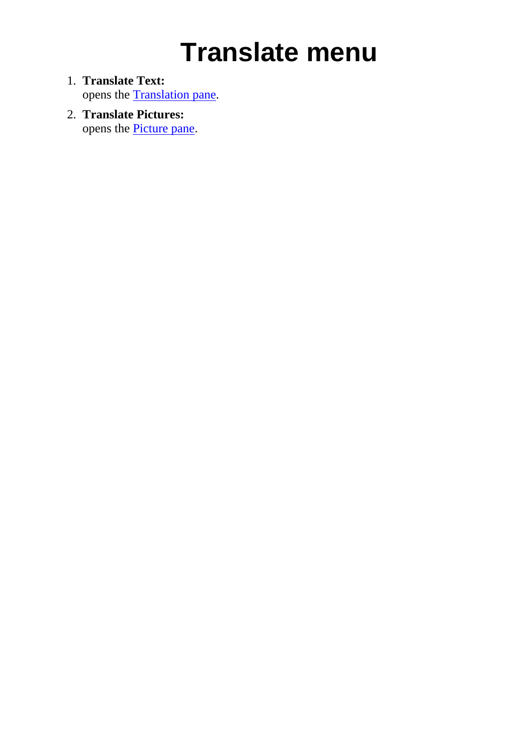## **Translate menu**

- <span id="page-16-1"></span><span id="page-16-0"></span>**Translate Text:** 1. opens the **[Translation pane](#page-9-0)**.
- <span id="page-16-2"></span>**Translate Pictures:** 2. opens the [Picture pane](#page-11-0).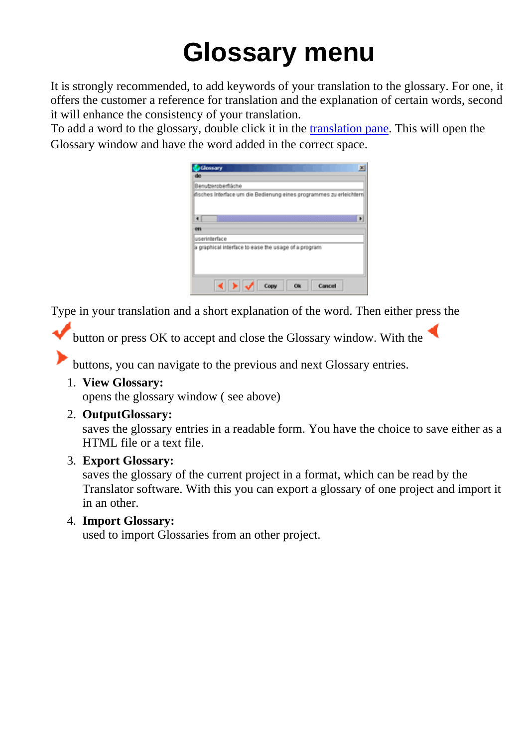# **Glossary menu**

<span id="page-17-0"></span>It is strongly recommended, to add keywords of your translation to the glossary. For one, it offers the customer a reference for translation and the explanation of certain words, second it will enhance the consistency of your translation.

To add a word to the glossary, double click it in the [translation pane](#page-10-0). This will open the Glossary window and have the word added in the correct space.

| <b>Clossary</b><br>$\mathbf{x}$                                     |
|---------------------------------------------------------------------|
| 40                                                                  |
| Benutzeroberfläche                                                  |
| ifisches interface um die Bedienung eines programmes zu erleichtern |
| $\blacksquare$                                                      |
| m                                                                   |
| userinterface                                                       |
| a graphical interface to ease the usage of a program                |
| Ok<br>Cancel<br>Copy                                                |

Type in your translation and a short explanation of the word. Then either press the

button or press OK to accept and close the Glossary window. With the

buttons, you can navigate to the previous and next Glossary entries.

<span id="page-17-1"></span>**View Glossary:** 1.

opens the glossary window ( see above)

<span id="page-17-2"></span>**OutputGlossary:** 2.

saves the glossary entries in a readable form. You have the choice to save either as a HTML file or a text file.

<span id="page-17-3"></span>**Export Glossary:** 3.

saves the glossary of the current project in a format, which can be read by the Translator software. With this you can export a glossary of one project and import it in an other.

<span id="page-17-4"></span>**Import Glossary:** 4.

used to import Glossaries from an other project.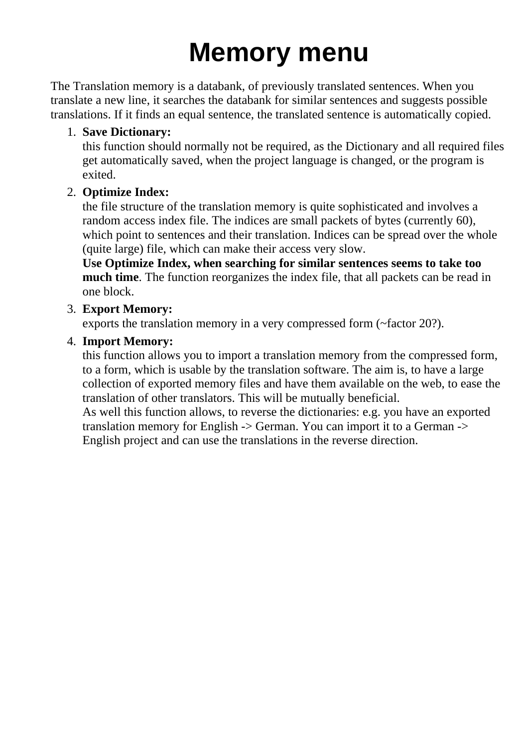# **Memory menu**

<span id="page-18-0"></span>The Translation memory is a databank, of previously translated sentences. When you translate a new line, it searches the databank for similar sentences and suggests possible translations. If it finds an equal sentence, the translated sentence is automatically copied.

#### <span id="page-18-1"></span>**Save Dictionary:** 1.

this function should normally not be required, as the Dictionary and all required files get automatically saved, when the project language is changed, or the program is exited.

#### <span id="page-18-2"></span>**Optimize Index:** 2.

the file structure of the translation memory is quite sophisticated and involves a random access index file. The indices are small packets of bytes (currently 60), which point to sentences and their translation. Indices can be spread over the whole (quite large) file, which can make their access very slow.

**Use Optimize Index, when searching for similar sentences seems to take too much time**. The function reorganizes the index file, that all packets can be read in one block.

#### <span id="page-18-3"></span>**Export Memory:** 3.

exports the translation memory in a very compressed form (~factor 20?).

#### <span id="page-18-4"></span>**Import Memory:** 4.

this function allows you to import a translation memory from the compressed form, to a form, which is usable by the translation software. The aim is, to have a large collection of exported memory files and have them available on the web, to ease the translation of other translators. This will be mutually beneficial. As well this function allows, to reverse the dictionaries: e.g. you have an exported translation memory for English -> German. You can import it to a German -> English project and can use the translations in the reverse direction.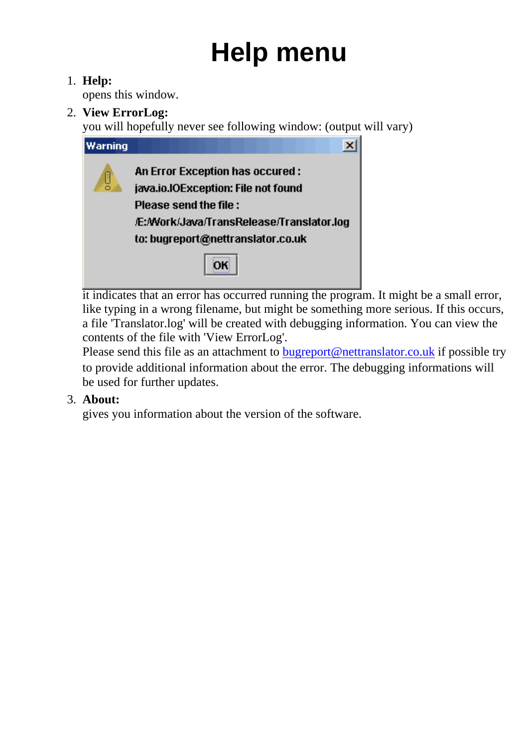# **Help menu**

#### <span id="page-19-0"></span>**Help:** 1.

opens this window.

<span id="page-19-1"></span>**View ErrorLog:** 2.

you will hopefully never see following window: (output will vary)



it indicates that an error has occurred running the program. It might be a small error, like typing in a wrong filename, but might be something more serious. If this occurs, a file 'Translator.log' will be created with debugging information. You can view the contents of the file with 'View ErrorLog'.

Please send this file as an attachment to **[bugreport@nettranslator.co.uk](mailto:bugreport@nettranslator.co.uk)** if possible try to provide additional information about the error. The debugging informations will be used for further updates.

#### <span id="page-19-2"></span>**About:** 3.

gives you information about the version of the software.